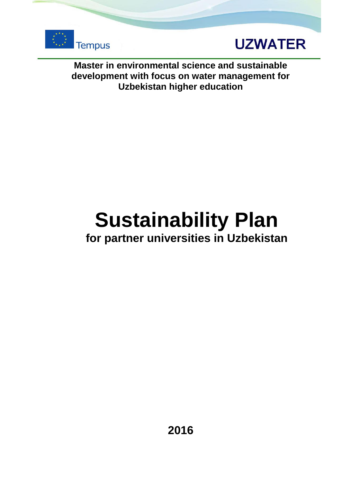



**Master in environmental science and sustainable development with focus on water management for Uzbekistan higher education**

# **Sustainability Plan**

### **for partner universities in Uzbekistan**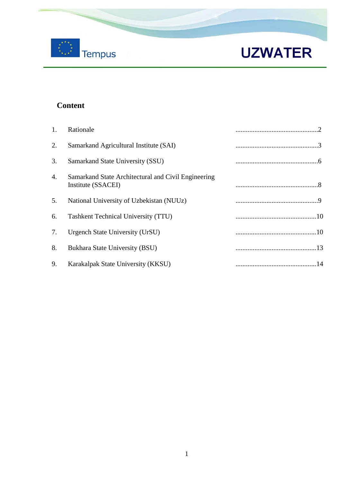

### **Content**

| 1. | Rationale                                                                 |  |
|----|---------------------------------------------------------------------------|--|
| 2. | Samarkand Agricultural Institute (SAI)                                    |  |
| 3. | Samarkand State University (SSU)                                          |  |
| 4. | Samarkand State Architectural and Civil Engineering<br>Institute (SSACEI) |  |
| 5. | National University of Uzbekistan (NUUz)                                  |  |
| 6. | <b>Tashkent Technical University (TTU)</b>                                |  |
| 7. | Urgench State University (UrSU)                                           |  |
| 8. | Bukhara State University (BSU)                                            |  |
| 9. | Karakalpak State University (KKSU)                                        |  |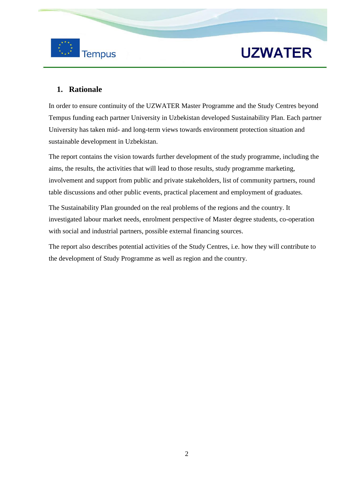



### **1. Rationale**

In order to ensure continuity of the UZWATER Master Programme and the Study Centres beyond Tempus funding each partner University in Uzbekistan developed Sustainability Plan. Each partner University has taken mid- and long-term views towards environment protection situation and sustainable development in Uzbekistan.

The report contains the vision towards further development of the study programme, including the aims, the results, the activities that will lead to those results, study programme marketing, involvement and support from public and private stakeholders, list of community partners, round table discussions and other public events, practical placement and employment of graduates.

The Sustainability Plan grounded on the real problems of the regions and the country. It investigated labour market needs, enrolment perspective of Master degree students, co-operation with social and industrial partners, possible external financing sources.

The report also describes potential activities of the Study Centres, i.e. how they will contribute to the development of Study Programme as well as region and the country.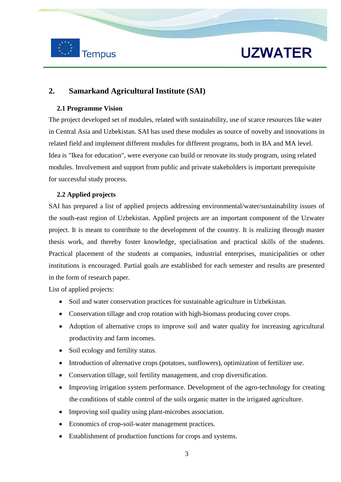

### **2. Samarkand Agricultural Institute (SAI)**

#### **2.1 Programme Vision**

The project developed set of modules, related with sustainability, use of scarce resources like water in Central Asia and Uzbekistan. SAI has used these modules as source of novelty and innovations in related field and implement different modules for different programs, both in BA and MA level. Idea is "Ikea for education", were everyone can build or renovate its study program, using related modules. Involvement and support from public and private stakeholders is important prerequisite for successful study process.

### **2.2 Applied projects**

SAI has prepared a list of applied projects addressing environmental/water/sustainability issues of the south-east region of Uzbekistan. Applied projects are an important component of the Uzwater project. It is meant to contribute to the development of the country. It is realizing through master thesis work, and thereby foster knowledge, specialisation and practical skills of the students. Practical placement of the students at companies, industrial enterprises, municipalities or other institutions is encouraged. Partial goals are established for each semester and results are presented in the form of research paper.

- Soil and water conservation practices for sustainable agriculture in Uzbekistan.
- Conservation tillage and crop rotation with high-biomass producing cover crops.
- Adoption of alternative crops to improve soil and water quality for increasing agricultural productivity and farm incomes.
- Soil ecology and fertility status.
- Introduction of alternative crops (potatoes, sunflowers), optimization of fertilizer use.
- Conservation tillage, soil fertility management, and crop diversification.
- Improving irrigation system performance. Development of the agro-technology for creating the conditions of stable control of the soils organic matter in the irrigated agriculture.
- Improving soil quality using plant-microbes association.
- Economics of crop-soil-water management practices.
- Establishment of production functions for crops and systems.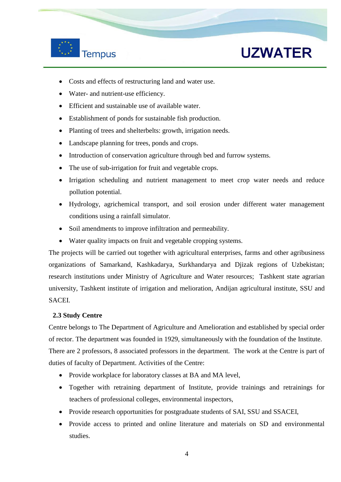

- Costs and effects of restructuring land and water use.
- Water- and nutrient-use efficiency.
- Efficient and sustainable use of available water.
- Establishment of ponds for sustainable fish production.
- Planting of trees and shelterbelts: growth, irrigation needs.
- Landscape planning for trees, ponds and crops.
- Introduction of conservation agriculture through bed and furrow systems.
- The use of sub-irrigation for fruit and vegetable crops.
- Irrigation scheduling and nutrient management to meet crop water needs and reduce pollution potential.
- Hydrology, agrichemical transport, and soil erosion under different water management conditions using a rainfall simulator.
- Soil amendments to improve infiltration and permeability.
- Water quality impacts on fruit and vegetable cropping systems.

The projects will be carried out together with agricultural enterprises, farms and other agribusiness organizations of Samarkand, Kashkadarya, Surkhandarya and Djizak regions of Uzbekistan; research institutions under Ministry of Agriculture and Water resources; Tashkent state agrarian university, Tashkent institute of irrigation and melioration, Andijan agricultural institute, SSU and SACEI.

#### **2.3 Study Centre**

Centre belongs to The Department of Agriculture and Amelioration and established by special order of rector. The department was founded in 1929, simultaneously with the foundation of the Institute. There are 2 professors, 8 associated professors in the department. The work at the Centre is part of duties of faculty of Department. Activities of the Centre:

- Provide workplace for laboratory classes at BA and MA level,
- Together with retraining department of Institute, provide trainings and retrainings for teachers of professional colleges, environmental inspectors,
- Provide research opportunities for postgraduate students of SAI, SSU and SSACEI,
- Provide access to printed and online literature and materials on SD and environmental studies.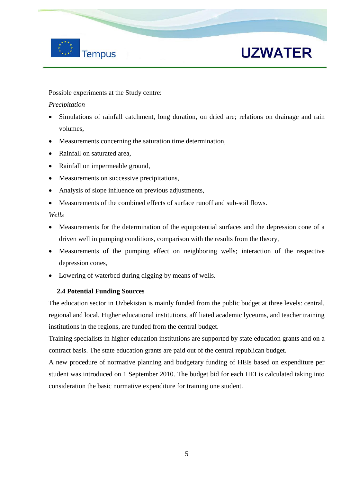

Possible experiments at the Study centre:

### *Precipitation*

- Simulations of rainfall catchment, long duration, on dried are; relations on drainage and rain volumes,
- Measurements concerning the saturation time determination,
- Rainfall on saturated area,
- Rainfall on impermeable ground,
- Measurements on successive precipitations,
- Analysis of slope influence on previous adjustments,
- Measurements of the combined effects of surface runoff and sub-soil flows.

*Wells* 

- Measurements for the determination of the equipotential surfaces and the depression cone of a driven well in pumping conditions, comparison with the results from the theory,
- Measurements of the pumping effect on neighboring wells; interaction of the respective depression cones,
- Lowering of waterbed during digging by means of wells.

### **2.4 Potential Funding Sources**

The education sector in Uzbekistan is mainly funded from the public budget at three levels: central, regional and local. Higher educational institutions, affiliated academic lyceums, and teacher training institutions in the regions, are funded from the central budget.

Training specialists in higher education institutions are supported by state education grants and on a contract basis. The state education grants are paid out of the central republican budget.

A new procedure of normative planning and budgetary funding of HEIs based on expenditure per student was introduced on 1 September 2010. The budget bid for each HEI is calculated taking into consideration the basic normative expenditure for training one student.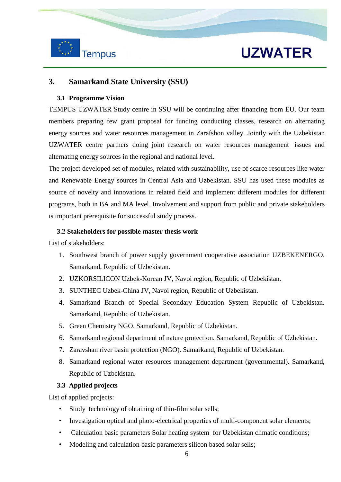

### **3. Samarkand State University (SSU)**

#### **3.1 Programme Vision**

TEMPUS UZWATER Study centre in SSU will be continuing after financing from EU. Our team members preparing few grant proposal for funding conducting classes, research on alternating energy sources and water resources management in Zarafshon valley. Jointly with the Uzbekistan UZWATER centre partners doing joint research on water resources management issues and alternating energy sources in the regional and national level.

The project developed set of modules, related with sustainability, use of scarce resources like water and Renewable Energy sources in Central Asia and Uzbekistan. SSU has used these modules as source of novelty and innovations in related field and implement different modules for different programs, both in BA and MA level. Involvement and support from public and private stakeholders is important prerequisite for successful study process.

#### **3.2 Stakeholders for possible master thesis work**

List of stakeholders:

- 1. Southwest branch of power supply government cooperative association UZBEKENERGO. Samarkand, Republic of Uzbekistan.
- 2. UZKORSILICON Uzbek-Korean JV, Navoi region, Republic of Uzbekistan.
- 3. SUNTHEC Uzbek-China JV, Navoi region, Republic of Uzbekistan.
- 4. Samarkand Branch of Special Secondary Education System Republic of Uzbekistan. Samarkand, Republic of Uzbekistan.
- 5. Green Chemistry NGO. Samarkand, Republic of Uzbekistan.
- 6. Samarkand regional department of nature protection. Samarkand, Republic of Uzbekistan.
- 7. Zaravshan river basin protection (NGO). Samarkand, Republic of Uzbekistan.
- 8. Samarkand regional water resources management department (governmental). Samarkand, Republic of Uzbekistan.

#### **3.3 Applied projects**

- Study technology of obtaining of thin-film solar sells;
- Investigation optical and photo-electrical properties of multi-component solar elements;
- Calculation basic parameters Solar heating system for Uzbekistan climatic conditions;
- Modeling and calculation basic parameters silicon based solar sells;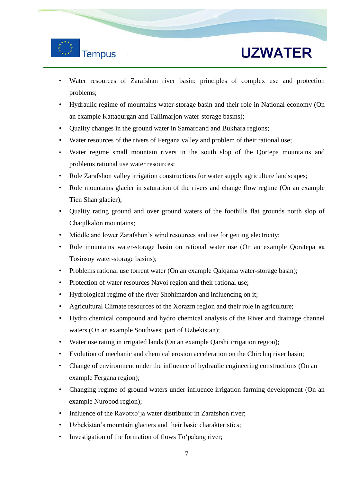

- Water resources of Zarafshan river basin: principles of complex use and protection problems;
- Hydraulic regime of mountains water-storage basin and their role in National economy (On an example Kattaqurgan and Tallimarjon water-storage basins);
- Quality changes in the ground water in Samarqand and Bukhara regions;
- Water resources of the rivers of Fergana valley and problem of their rational use;
- Water regime small mountain rivers in the south slop of the Qortepa mountains and problems rational use water resources;
- Role Zarafshon valley irrigation constructions for water supply agriculture landscapes;
- Role mountains glacier in saturation of the rivers and change flow regime (On an example Tien Shan glacier);
- Quality rating ground and over ground waters of the foothills flat grounds north slop of Chaqilkalon mountains;
- Middle and lower Zarafshon's wind resources and use for getting electricity;
- Role mountains water-storage basin on rational water use (On an example Qoratepa ва Tosinsoy water-storage basins);
- Problems rational use torrent water (On an example Qalqama water-storage basin);
- Protection of water resources Navoi region and their rational use;
- Hydrological regime of the river Shohimardon and influencing on it;
- Agricultural Climate resources of the Xorazm region and their role in agriculture;
- Hydro chemical compound and hydro chemical analysis of the River and drainage channel waters (On an example Southwest part of Uzbekistan);
- Water use rating in irrigated lands (On an example Qarshi irrigation region);
- Evolution of mechanic and chemical erosion acceleration on the Chirchiq river basin;
- Change of environment under the influence of hydraulic engineering constructions (On an example Fergana region);
- Changing regime of ground waters under influence irrigation farming development (On an example Nurobod region);
- Influence of the Ravotxo'ja water distributor in Zarafshon river;
- Uzbekistan's mountain glaciers and their basic charakteristics;
- Investigation of the formation of flows To'palang river;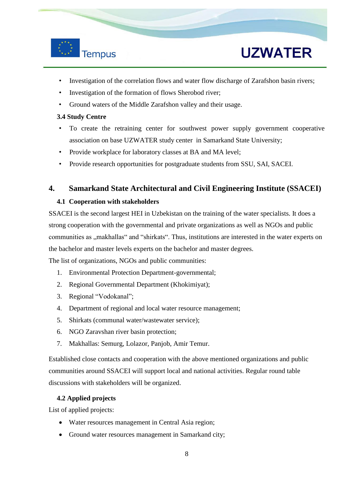

- Investigation of the correlation flows and water flow discharge of Zarafshon basin rivers;
- Investigation of the formation of flows Sherobod river;
- Ground waters of the Middle Zarafshon valley and their usage.

#### **3.4 Study Centre**

- To create the retraining center for southwest power supply government cooperative association on base UZWATER study center in Samarkand State University;
- Provide workplace for laboratory classes at BA and MA level;
- Provide research opportunities for postgraduate students from SSU, SAI, SACEI.

### **4. Samarkand State Architectural and Civil Engineering Institute (SSACEI)**

#### **4.1 Cooperation with stakeholders**

SSACEI is the second largest HEI in Uzbekistan on the training of the water specialists. It does a strong cooperation with the governmental and private organizations as well as NGOs and public communities as "makhallas" and "shirkats". Thus, institutions are interested in the water experts on the bachelor and master levels experts on the bachelor and master degrees.

The list of organizations, NGOs and public communities:

- 1. Environmental Protection Department-governmental;
- 2. Regional Governmental Department (Khokimiyat);
- 3. Regional "Vodokanal";
- 4. Department of regional and local water resource management;
- 5. Shirkats (communal water/wastewater service);
- 6. NGO Zaravshan river basin protection;
- 7. Makhallas: Semurg, Lolazor, Panjob, Amir Temur.

Established close contacts and cooperation with the above mentioned organizations and public communities around SSACEI will support local and national activities. Regular round table discussions with stakeholders will be organized.

### **4.2 Applied projects**

- Water resources management in Central Asia region;
- Ground water resources management in Samarkand city;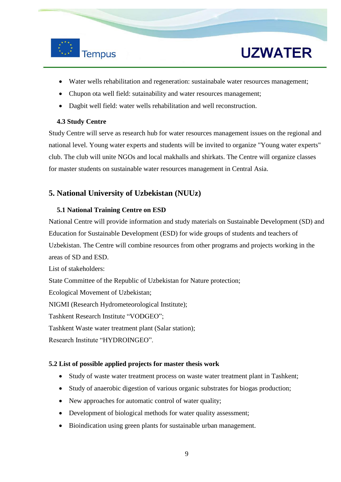

- Water wells rehabilitation and regeneration: sustainabale water resources management;
- Chupon ota well field: sutainability and water resources management;
- Dagbit well field: water wells rehabilitation and well reconstruction.

### **4.3 Study Centre**

Study Centre will serve as research hub for water resources management issues on the regional and national level. Young water experts and students will be invited to organize "Young water experts" club. The club will unite NGOs and local makhalls and shirkats. The Centre will organize classes for master students on sustainable water resources management in Central Asia.

### **5. National University of Uzbekistan (NUUz)**

### **5.1 National Training Centre on ESD**

National Centre will provide information and study materials on Sustainable Development (SD) and Education for Sustainable Development (ESD) for wide groups of students and teachers of Uzbekistan. The Centre will combine resources from other programs and projects working in the areas of SD and ESD.

List of stakeholders:

State Committee of the Republic of Uzbekistan for Nature protection;

Ecological Movement of Uzbekistan;

NIGMI (Research Hydrometeorological Institute);

Tashkent Research Institute "VODGEO";

Tashkent Waste water treatment plant (Salar station);

Research Institute "HYDROINGEO".

### **5.2 List of possible applied projects for master thesis work**

- Study of waste water treatment process on waste water treatment plant in Tashkent;
- Study of anaerobic digestion of various organic substrates for biogas production;
- New approaches for automatic control of water quality;
- Development of biological methods for water quality assessment;
- Bioindication using green plants for sustainable urban management.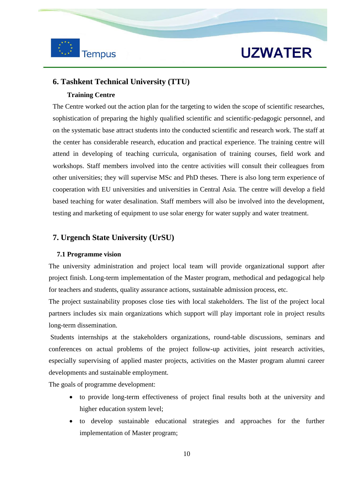

### **6. Tashkent Technical University (TTU)**

#### **Training Centre**

The Centre worked out the action plan for the targeting to widen the scope of scientific researches, sophistication of preparing the highly qualified scientific and scientific-pedagogic personnel, and on the systematic base attract students into the conducted scientific and research work. The staff at the center has considerable research, education and practical experience. The training centre will attend in developing of teaching curricula, organisation of training courses, field work and workshops. Staff members involved into the centre activities will consult their colleagues from other universities; they will supervise MSc and PhD theses. There is also long term experience of cooperation with EU universities and universities in Central Asia. The centre will develop a field based teaching for water desalination. Staff members will also be involved into the development, testing and marketing of equipment to use solar energy for water supply and water treatment.

### **7. Urgench State University (UrSU)**

#### **7.1 Programme vision**

The university administration and project local team will provide organizational support after project finish. Long-term implementation of the Master program, methodical and pedagogical help for teachers and students, quality assurance actions, sustainable admission process, etc.

The project sustainability proposes close ties with local stakeholders. The list of the project local partners includes six main organizations which support will play important role in project results long-term dissemination.

Students internships at the stakeholders organizations, round-table discussions, seminars and conferences on actual problems of the project follow-up activities, joint research activities, especially supervising of applied master projects, activities on the Master program alumni career developments and sustainable employment.

The goals of programme development:

- to provide long-term effectiveness of project final results both at the university and higher education system level;
- to develop sustainable educational strategies and approaches for the further implementation of Master program;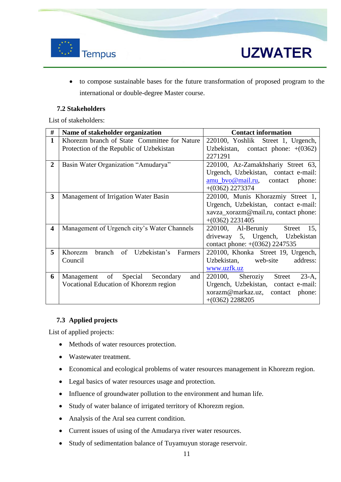

- **UZWATER**
- to compose sustainable bases for the future transformation of proposed program to the international or double-degree Master course.

### **7.2 Stakeholders**

List of stakeholders:

| #                       | Name of stakeholder organization                                                         | <b>Contact information</b>                                                                                                                                                  |
|-------------------------|------------------------------------------------------------------------------------------|-----------------------------------------------------------------------------------------------------------------------------------------------------------------------------|
| 1                       | Khorezm branch of State Committee for Nature<br>Protection of the Republic of Uzbekistan | 220100, Yoshlik Street 1, Urgench,<br>Uzbekistan, contact phone: $+(0362)$                                                                                                  |
| $\overline{2}$          | Basin Water Organization "Amudarya"                                                      | 2271291<br>220100, Az-Zamakhshariy Street 63,<br>Urgench, Uzbekistan, contact e-mail:<br>$\frac{\text{amu}\text{two}\textcircled{m}\text{a}$<br>phone:<br>$+(0362)$ 2273374 |
| 3                       | Management of Irrigation Water Basin                                                     | 220100, Munis Khorazmiy Street 1,<br>Urgench, Uzbekistan, contact e-mail:<br>xavza_xorazm@mail.ru, contact phone:<br>$+(0362)$ 2231405                                      |
| $\overline{\mathbf{4}}$ | Management of Urgench city's Water Channels                                              | 220100, Al-Beruniy<br>Street<br>15,<br>driveway 5, Urgench, Uzbekistan<br>contact phone: $+(0362)$ 2247535                                                                  |
| 5                       | branch of Uzbekistan's<br>Khorezm<br>Farmers<br>Council                                  | 220100, Khonka Street 19, Urgench,<br>Uzbekistan, web-site<br>address:<br>www.uzfk.uz                                                                                       |
| 6                       | Management of<br>Special<br>Secondary<br>and<br>Vocational Education of Khorezm region   | Street<br>$23-A$ ,<br>$220100$ , Sheroziy<br>Urgench, Uzbekistan, contact e-mail:<br>xorazm@markaz.uz,<br>contact phone:<br>$+(0362)$ 2288205                               |

### **7.3 Applied projects**

- Methods of water resources protection.
- Wastewater treatment.
- Economical and ecological problems of water resources management in Khorezm region.
- Legal basics of water resources usage and protection.
- Influence of groundwater pollution to the environment and human life.
- Study of water balance of irrigated territory of Khorezm region.
- Analysis of the Aral sea current condition.
- Current issues of using of the Amudarya river water resources.
- Study of sedimentation balance of Tuyamuyun storage reservoir.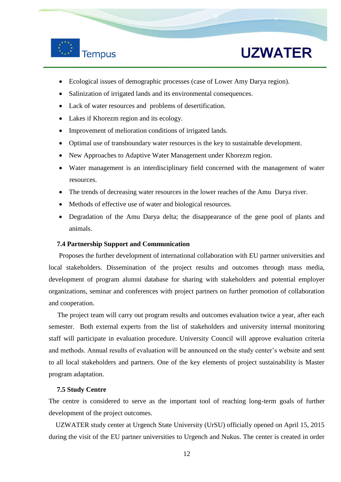

- Ecological issues of demographic processes (case of Lower Amy Darya region).
- Salinization of irrigated lands and its environmental consequences.
- Lack of water resources and problems of desertification.
- Lakes if Khorezm region and its ecology.
- Improvement of melioration conditions of irrigated lands.
- Optimal use of transboundary water resources is the key to sustainable development.
- New Approaches to Adaptive Water Management under Khorezm region.
- Water management is an interdisciplinary field concerned with the management of water resources.
- The trends of decreasing water resources in the lower reaches of the Amu Darya river.
- Methods of effective use of water and biological resources.
- Degradation of the Amu Darya delta; the disappearance of the gene pool of plants and animals.

#### **7.4 Partnership Support and Communication**

Proposes the further development of international collaboration with EU partner universities and local stakeholders. Dissemination of the project results and outcomes through mass media, development of program alumni database for sharing with stakeholders and potential employer organizations, seminar and conferences with project partners on further promotion of collaboration and cooperation.

 The project team will carry out program results and outcomes evaluation twice a year, after each semester. Both external experts from the list of stakeholders and university internal monitoring staff will participate in evaluation procedure. University Council will approve evaluation criteria and methods. Annual results of evaluation will be announced on the study center's website and sent to all local stakeholders and partners. One of the key elements of project sustainability is Master program adaptation.

#### **7.5 Study Centre**

The centre is considered to serve as the important tool of reaching long-term goals of further development of the project outcomes.

 UZWATER study center at Urgench State University (UrSU) officially opened on April 15, 2015 during the visit of the EU partner universities to Urgench and Nukus. The center is created in order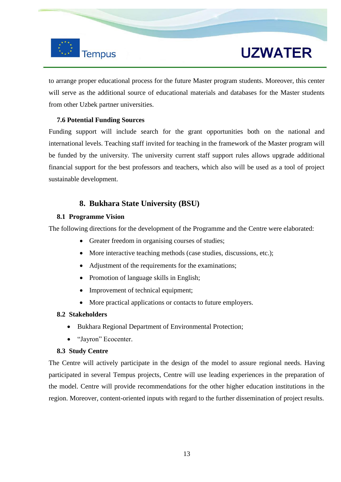

to arrange proper educational process for the future Master program students. Moreover, this center will serve as the additional source of educational materials and databases for the Master students from other Uzbek partner universities.

### **7.6 Potential Funding Sources**

Funding support will include search for the grant opportunities both on the national and international levels. Teaching staff invited for teaching in the framework of the Master program will be funded by the university. The university current staff support rules allows upgrade additional financial support for the best professors and teachers, which also will be used as a tool of project sustainable development.

### **8. Bukhara State University (BSU)**

### **8.1 Programme Vision**

The following directions for the development of the Programme and the Centre were elaborated:

- Greater freedom in organising courses of studies;
- More interactive teaching methods (case studies, discussions, etc.);
- Adjustment of the requirements for the examinations;
- Promotion of language skills in English;
- Improvement of technical equipment;
- More practical applications or contacts to future employers.

#### **8.2 Stakeholders**

- Bukhara Regional Department of Environmental Protection;
- "Jayron" Ecocenter.

#### **8.3 Study Centre**

The Centre will actively participate in the design of the model to assure regional needs. Having participated in several Tempus projects, Centre will use leading experiences in the preparation of the model. Centre will provide recommendations for the other higher education institutions in the region. Moreover, content-oriented inputs with regard to the further dissemination of project results.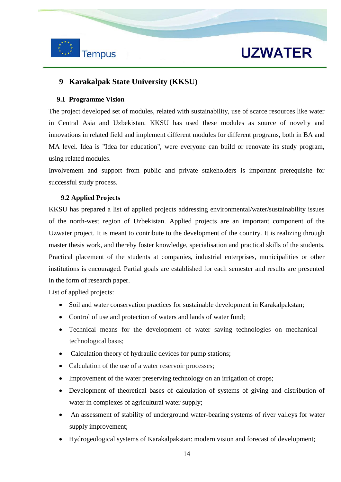

### **9 Karakalpak State University (KKSU)**

### **9.1 Programme Vision**

The project developed set of modules, related with sustainability, use of scarce resources like water in Central Asia and Uzbekistan. KKSU has used these modules as source of novelty and innovations in related field and implement different modules for different programs, both in BA and MA level. Idea is "Idea for education", were everyone can build or renovate its study program, using related modules.

Involvement and support from public and private stakeholders is important prerequisite for successful study process.

### **9.2 Applied Projects**

KKSU has prepared a list of applied projects addressing environmental/water/sustainability issues of the north-west region of Uzbekistan. Applied projects are an important component of the Uzwater project. It is meant to contribute to the development of the country. It is realizing through master thesis work, and thereby foster knowledge, specialisation and practical skills of the students. Practical placement of the students at companies, industrial enterprises, municipalities or other institutions is encouraged. Partial goals are established for each semester and results are presented in the form of research paper.

- Soil and water conservation practices for sustainable development in Karakalpakstan;
- Control of use and protection of waters and lands of water fund;
- Technical means for the development of water saving technologies on mechanical technological basis;
- Calculation theory of hydraulic devices for pump stations;
- Calculation of the use of a water reservoir processes;
- Improvement of the water preserving technology on an irrigation of crops;
- Development of theoretical bases of calculation of systems of giving and distribution of water in complexes of agricultural water supply;
- An assessment of stability of underground water-bearing systems of river valleys for water supply improvement;
- Hydrogeological systems of Karakalpakstan: modern vision and forecast of development;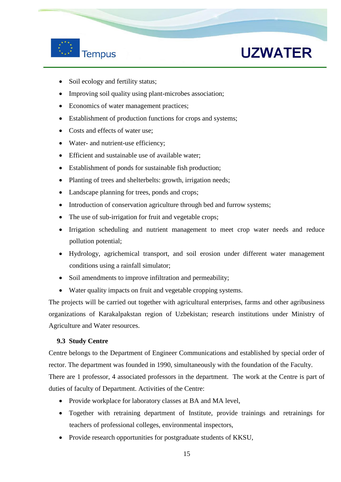

### **Tempus**

# **UZWATER**

- Soil ecology and fertility status;
- Improving soil quality using plant-microbes association;
- Economics of water management practices;
- Establishment of production functions for crops and systems;
- Costs and effects of water use;
- Water- and nutrient-use efficiency;
- Efficient and sustainable use of available water;
- Establishment of ponds for sustainable fish production;
- Planting of trees and shelterbelts: growth, irrigation needs;
- Landscape planning for trees, ponds and crops;
- Introduction of conservation agriculture through bed and furrow systems;
- The use of sub-irrigation for fruit and vegetable crops;
- Irrigation scheduling and nutrient management to meet crop water needs and reduce pollution potential;
- Hydrology, agrichemical transport, and soil erosion under different water management conditions using a rainfall simulator;
- Soil amendments to improve infiltration and permeability;
- Water quality impacts on fruit and vegetable cropping systems.

The projects will be carried out together with agricultural enterprises, farms and other agribusiness organizations of Karakalpakstan region of Uzbekistan; research institutions under Ministry of Agriculture and Water resources.

### **9.3 Study Centre**

Centre belongs to the Department of Engineer Communications and established by special order of rector. The department was founded in 1990, simultaneously with the foundation of the Faculty. There are 1 professor, 4 associated professors in the department. The work at the Centre is part of duties of faculty of Department. Activities of the Centre:

- Provide workplace for laboratory classes at BA and MA level,
- Together with retraining department of Institute, provide trainings and retrainings for teachers of professional colleges, environmental inspectors,
- Provide research opportunities for postgraduate students of KKSU,